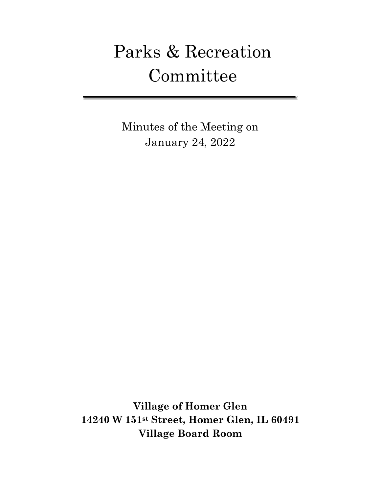# Parks & Recreation Committee

Minutes of the Meeting on January 24, 2022

**Village of Homer Glen 14240 W 151st Street, Homer Glen, IL 60491 Village Board Room**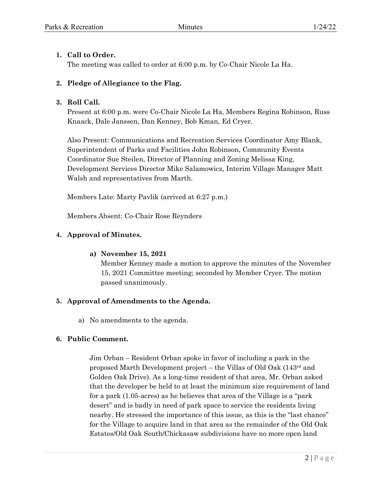# **1. Call to Order.**

The meeting was called to order at 6:00 p.m. by Co-Chair Nicole La Ha.

# **2. Pledge of Allegiance to the Flag.**

#### **3. Roll Call.**

Present at 6:00 p.m. were Co-Chair Nicole La Ha, Members Regina Robinson, Russ Knaack, Dale Janssen, Dan Kenney, Bob Kman, Ed Cryer.

Also Present: Communications and Recreation Services Coordinator Amy Blank, Superintendent of Parks and Facilities John Robinson, Community Events Coordinator Sue Steilen, Director of Planning and Zoning Melissa King, Development Services Director Mike Salamowicz, Interim Village Manager Matt Walsh and representatives from Marth.

Members Late: Marty Pavlik (arrived at 6:27 p.m.)

Members Absent: Co-Chair Rose Reynders

# **4. Approval of Minutes.**

# **a) November 15, 2021**

Member Kenney made a motion to approve the minutes of the November 15, 2021 Committee meeting; seconded by Member Cryer. The motion passed unanimously.

# **5. Approval of Amendments to the Agenda.**

a) No amendments to the agenda.

# **6. Public Comment.**

Jim Orban – Resident Orban spoke in favor of including a park in the proposed Marth Development project – the Villas of Old Oak (143rd and Golden Oak Drive). As a long-time resident of that area, Mr. Orban asked that the developer be held to at least the minimum size requirement of land for a park (1.05-acres) as he believes that area of the Village is a "park desert" and is badly in need of park space to service the residents living nearby. He stressed the importance of this issue, as this is the "last chance" for the Village to acquire land in that area as the remainder of the Old Oak Estates/Old Oak South/Chickasaw subdivisions have no more open land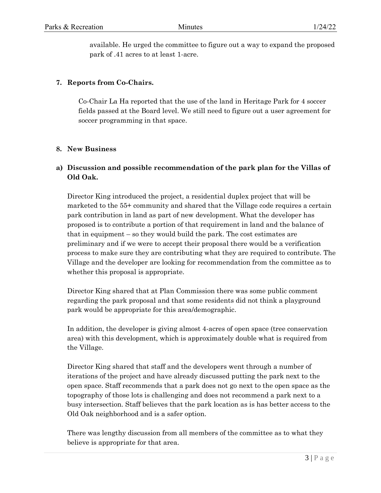available. He urged the committee to figure out a way to expand the proposed park of .41 acres to at least 1-acre.

#### **7. Reports from Co-Chairs.**

Co-Chair La Ha reported that the use of the land in Heritage Park for 4 soccer fields passed at the Board level. We still need to figure out a user agreement for soccer programming in that space.

#### **8. New Business**

# **a) Discussion and possible recommendation of the park plan for the Villas of Old Oak.**

Director King introduced the project, a residential duplex project that will be marketed to the 55+ community and shared that the Village code requires a certain park contribution in land as part of new development. What the developer has proposed is to contribute a portion of that requirement in land and the balance of that in equipment – so they would build the park. The cost estimates are preliminary and if we were to accept their proposal there would be a verification process to make sure they are contributing what they are required to contribute. The Village and the developer are looking for recommendation from the committee as to whether this proposal is appropriate.

Director King shared that at Plan Commission there was some public comment regarding the park proposal and that some residents did not think a playground park would be appropriate for this area/demographic.

In addition, the developer is giving almost 4-acres of open space (tree conservation area) with this development, which is approximately double what is required from the Village.

Director King shared that staff and the developers went through a number of iterations of the project and have already discussed putting the park next to the open space. Staff recommends that a park does not go next to the open space as the topography of those lots is challenging and does not recommend a park next to a busy intersection. Staff believes that the park location as is has better access to the Old Oak neighborhood and is a safer option.

There was lengthy discussion from all members of the committee as to what they believe is appropriate for that area.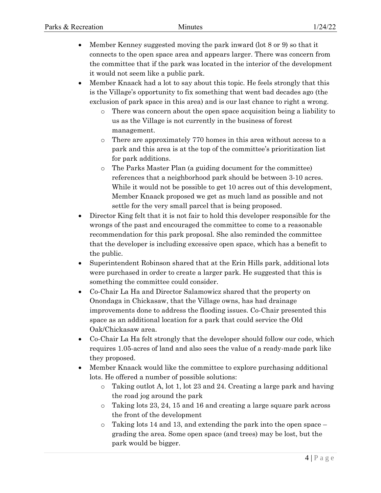- Member Kenney suggested moving the park inward (lot 8 or 9) so that it connects to the open space area and appears larger. There was concern from the committee that if the park was located in the interior of the development it would not seem like a public park.
- Member Knaack had a lot to say about this topic. He feels strongly that this is the Village's opportunity to fix something that went bad decades ago (the exclusion of park space in this area) and is our last chance to right a wrong.
	- There was concern about the open space acquisition being a liability to us as the Village is not currently in the business of forest management.
	- o There are approximately 770 homes in this area without access to a park and this area is at the top of the committee's prioritization list for park additions.
	- o The Parks Master Plan (a guiding document for the committee) references that a neighborhood park should be between 3-10 acres. While it would not be possible to get 10 acres out of this development, Member Knaack proposed we get as much land as possible and not settle for the very small parcel that is being proposed.
- Director King felt that it is not fair to hold this developer responsible for the wrongs of the past and encouraged the committee to come to a reasonable recommendation for this park proposal. She also reminded the committee that the developer is including excessive open space, which has a benefit to the public.
- Superintendent Robinson shared that at the Erin Hills park, additional lots were purchased in order to create a larger park. He suggested that this is something the committee could consider.
- Co-Chair La Ha and Director Salamowicz shared that the property on Onondaga in Chickasaw, that the Village owns, has had drainage improvements done to address the flooding issues. Co-Chair presented this space as an additional location for a park that could service the Old Oak/Chickasaw area.
- Co-Chair La Ha felt strongly that the developer should follow our code, which requires 1.05-acres of land and also sees the value of a ready-made park like they proposed.
- Member Knaack would like the committee to explore purchasing additional lots. He offered a number of possible solutions:
	- o Taking outlot A, lot 1, lot 23 and 24. Creating a large park and having the road jog around the park
	- o Taking lots 23, 24, 15 and 16 and creating a large square park across the front of the development
	- o Taking lots 14 and 13, and extending the park into the open space grading the area. Some open space (and trees) may be lost, but the park would be bigger.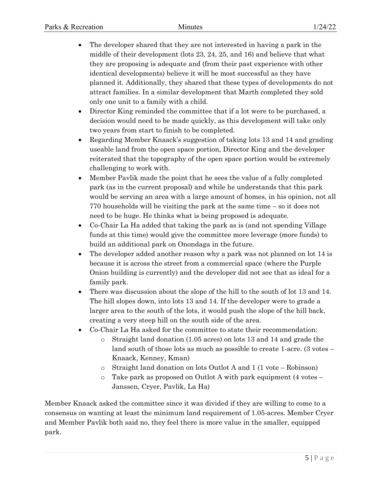- The developer shared that they are not interested in having a park in the middle of their development (lots 23, 24, 25, and 16) and believe that what they are proposing is adequate and (from their past experience with other identical developments) believe it will be most successful as they have planned it. Additionally, they shared that these types of developments do not attract families. In a similar development that Marth completed they sold only one unit to a family with a child.
- Director King reminded the committee that if a lot were to be purchased, a decision would need to be made quickly, as this development will take only two years from start to finish to be completed.
- Regarding Member Knaack's suggestion of taking lots 13 and 14 and grading useable land from the open space portion, Director King and the developer reiterated that the topography of the open space portion would be extremely challenging to work with.
- Member Pavlik made the point that he sees the value of a fully completed park (as in the current proposal) and while he understands that this park would be serving an area with a large amount of homes, in his opinion, not all 770 households will be visiting the park at the same time – so it does not need to be huge. He thinks what is being proposed is adequate.
- Co-Chair La Ha added that taking the park as is (and not spending Village funds at this time) would give the committee more leverage (more funds) to build an additional park on Onondaga in the future.
- The developer added another reason why a park was not planned on lot 14 is because it is across the street from a commercial space (where the Purple Onion building is currently) and the developer did not see that as ideal for a family park.
- There was discussion about the slope of the hill to the south of lot 13 and 14. The hill slopes down, into lots 13 and 14. If the developer were to grade a larger area to the south of the lots, it would push the slope of the hill back, creating a very steep hill on the south side of the area.
- Co-Chair La Ha asked for the committee to state their recommendation:
	- o Straight land donation (1.05 acres) on lots 13 and 14 and grade the land south of those lots as much as possible to create 1-acre. (3 votes – Knaack, Kenney, Kman)
	- o Straight land donation on lots Outlot A and 1 (1 vote Robinson)
	- $\circ$  Take park as proposed on Outlot A with park equipment (4 votes Janssen, Cryer, Pavlik, La Ha)

Member Knaack asked the committee since it was divided if they are willing to come to a consensus on wanting at least the minimum land requirement of 1.05-acres. Member Cryer and Member Pavlik both said no, they feel there is more value in the smaller, equipped park.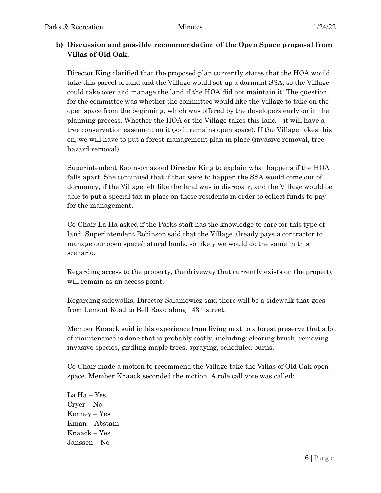# **b) Discussion and possible recommendation of the Open Space proposal from Villas of Old Oak.**

Director King clarified that the proposed plan currently states that the HOA would take this parcel of land and the Village would set up a dormant SSA, so the Village could take over and manage the land if the HOA did not maintain it. The question for the committee was whether the committee would like the Village to take on the open space from the beginning, which was offered by the developers early on in the planning process. Whether the HOA or the Village takes this land – it will have a tree conservation easement on it (so it remains open space). If the Village takes this on, we will have to put a forest management plan in place (invasive removal, tree hazard removal).

Superintendent Robinson asked Director King to explain what happens if the HOA falls apart. She continued that if that were to happen the SSA would come out of dormancy, if the Village felt like the land was in disrepair, and the Village would be able to put a special tax in place on those residents in order to collect funds to pay for the management.

Co-Chair La Ha asked if the Parks staff has the knowledge to care for this type of land. Superintendent Robinson said that the Village already pays a contractor to manage our open space/natural lands, so likely we would do the same in this scenario.

Regarding access to the property, the driveway that currently exists on the property will remain as an access point.

Regarding sidewalks, Director Salamowicz said there will be a sidewalk that goes from Lemont Road to Bell Road along 143rd street.

Member Knaack said in his experience from living next to a forest preserve that a lot of maintenance is done that is probably costly, including: clearing brush, removing invasive species, girdling maple trees, spraying, scheduled burns.

Co-Chair made a motion to recommend the Village take the Villas of Old Oak open space. Member Knaack seconded the motion. A role call vote was called:

La Ha – Yes Cryer – No Kenney – Yes Kman – Abstain Knaack – Yes Janssen – No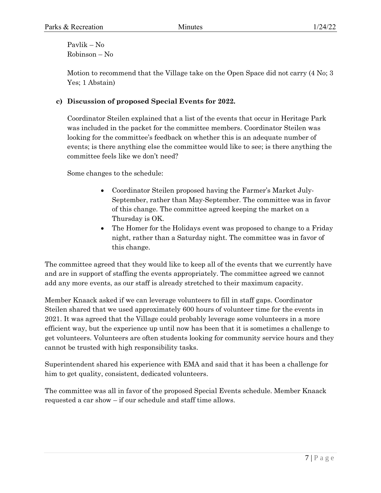Pavlik – No Robinson – No

Motion to recommend that the Village take on the Open Space did not carry (4 No; 3 Yes; 1 Abstain)

#### **c) Discussion of proposed Special Events for 2022.**

Coordinator Steilen explained that a list of the events that occur in Heritage Park was included in the packet for the committee members. Coordinator Steilen was looking for the committee's feedback on whether this is an adequate number of events; is there anything else the committee would like to see; is there anything the committee feels like we don't need?

Some changes to the schedule:

- Coordinator Steilen proposed having the Farmer's Market July-September, rather than May-September. The committee was in favor of this change. The committee agreed keeping the market on a Thursday is OK.
- The Homer for the Holidays event was proposed to change to a Friday night, rather than a Saturday night. The committee was in favor of this change.

The committee agreed that they would like to keep all of the events that we currently have and are in support of staffing the events appropriately. The committee agreed we cannot add any more events, as our staff is already stretched to their maximum capacity.

Member Knaack asked if we can leverage volunteers to fill in staff gaps. Coordinator Steilen shared that we used approximately 600 hours of volunteer time for the events in 2021. It was agreed that the Village could probably leverage some volunteers in a more efficient way, but the experience up until now has been that it is sometimes a challenge to get volunteers. Volunteers are often students looking for community service hours and they cannot be trusted with high responsibility tasks.

Superintendent shared his experience with EMA and said that it has been a challenge for him to get quality, consistent, dedicated volunteers.

The committee was all in favor of the proposed Special Events schedule. Member Knaack requested a car show – if our schedule and staff time allows.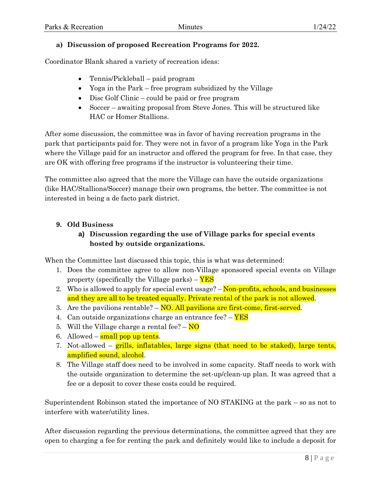# **a) Discussion of proposed Recreation Programs for 2022.**

Coordinator Blank shared a variety of recreation ideas:

- Tennis/Pickleball paid program
- Yoga in the Park free program subsidized by the Village
- Disc Golf Clinic could be paid or free program
- Soccer awaiting proposal from Steve Jones. This will be structured like HAC or Homer Stallions.

After some discussion, the committee was in favor of having recreation programs in the park that participants paid for. They were not in favor of a program like Yoga in the Park where the Village paid for an instructor and offered the program for free. In that case, they are OK with offering free programs if the instructor is volunteering their time.

The committee also agreed that the more the Village can have the outside organizations (like HAC/Stallions/Soccer) manage their own programs, the better. The committee is not interested in being a de facto park district.

# **9. Old Business**

# **a) Discussion regarding the use of Village parks for special events hosted by outside organizations.**

When the Committee last discussed this topic, this is what was determined:

- 1. Does the committee agree to allow non-Village sponsored special events on Village property (specifically the Village parks) – YES
- 2. Who is allowed to apply for special event usage? Non-profits, schools, and businesses and they are all to be treated equally. Private rental of the park is not allowed.
- 3. Are the pavilions rentable? NO. All pavilions are first-come, first-served.
- 4. Can outside organizations charge an entrance fee? **YES**
- 5. Will the Village charge a rental fee?  $-\overline{NO}$
- 6. Allowed  $\frac{\text{small pop up tents}}{\text{sp}}$ .
- 7. Not-allowed grills, inflatables, large signs (that need to be staked), large tents, amplified sound, alcohol.
- 8. The Village staff does need to be involved in some capacity. Staff needs to work with the outside organization to determine the set-up/clean-up plan. It was agreed that a fee or a deposit to cover these costs could be required.

Superintendent Robinson stated the importance of NO STAKING at the park – so as not to interfere with water/utility lines.

After discussion regarding the previous determinations, the committee agreed that they are open to charging a fee for renting the park and definitely would like to include a deposit for